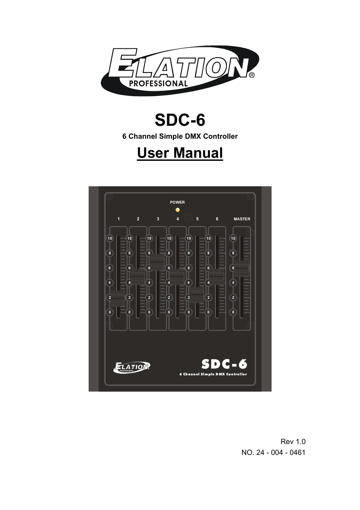

# **SDC-6**

**6 Channel Simple DMX Controller** 

# **User Manual**



Rev 1.0 NO. 24 - 004 - 0461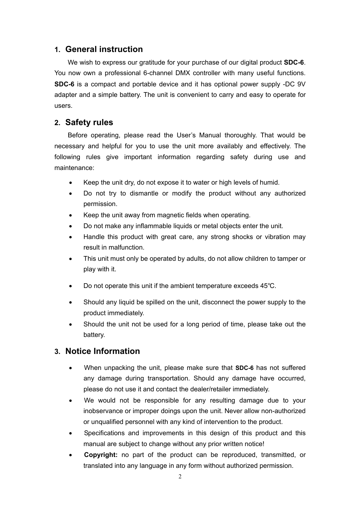## **1. General instruction**

 We wish to express our gratitude for your purchase of our digital product **SDC-6**. You now own a professional 6-channel DMX controller with many useful functions. **SDC-6** is a compact and portable device and it has optional power supply -DC 9V adapter and a simple battery. The unit is convenient to carry and easy to operate for users.

# **2. Safety rules**

 Before operating, please read the User's Manual thoroughly. That would be necessary and helpful for you to use the unit more availably and effectively. The following rules give important information regarding safety during use and maintenance:

- Keep the unit dry, do not expose it to water or high levels of humid.
- Do not try to dismantle or modify the product without any authorized permission.
- Keep the unit away from magnetic fields when operating.
- Do not make any inflammable liquids or metal objects enter the unit.
- Handle this product with great care, any strong shocks or vibration may result in malfunction.
- This unit must only be operated by adults, do not allow children to tamper or play with it.
- Do not operate this unit if the ambient temperature exceeds 45℃.
- Should any liquid be spilled on the unit, disconnect the power supply to the product immediately.
- Should the unit not be used for a long period of time, please take out the battery.

# **3. Notice Information**

- When unpacking the unit, please make sure that **SDC-6** has not suffered any damage during transportation. Should any damage have occurred, please do not use it and contact the dealer/retailer immediately.
- We would not be responsible for any resulting damage due to your inobservance or improper doings upon the unit. Never allow non-authorized or unqualified personnel with any kind of intervention to the product.
- Specifications and improvements in this design of this product and this manual are subject to change without any prior written notice!
- **Copyright:** no part of the product can be reproduced, transmitted, or translated into any language in any form without authorized permission.